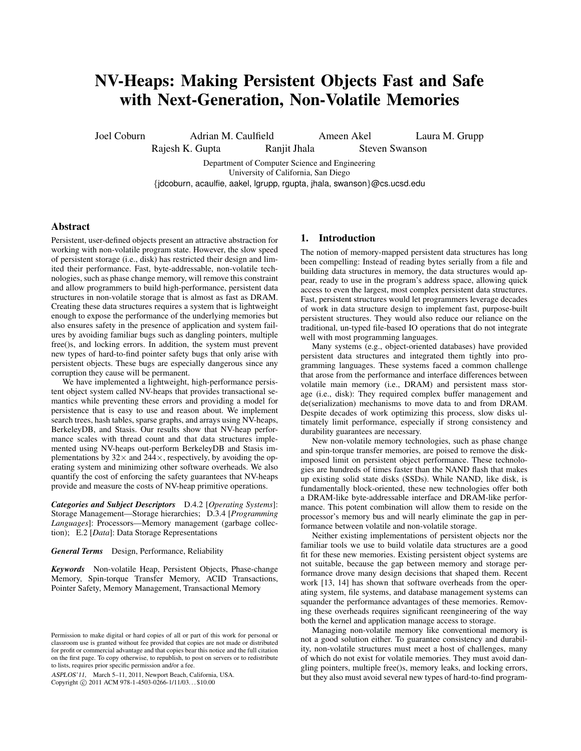# NV-Heaps: Making Persistent Objects Fast and Safe with Next-Generation, Non-Volatile Memories

Rajesh K. Gupta Ranjit Jhala Steven Swanson

Joel Coburn Adrian M. Caulfield Ameen Akel Laura M. Grupp

Department of Computer Science and Engineering University of California, San Diego {jdcoburn, acaulfie, aakel, lgrupp, rgupta, jhala, swanson}@cs.ucsd.edu

# Abstract

Persistent, user-defined objects present an attractive abstraction for working with non-volatile program state. However, the slow speed of persistent storage (i.e., disk) has restricted their design and limited their performance. Fast, byte-addressable, non-volatile technologies, such as phase change memory, will remove this constraint and allow programmers to build high-performance, persistent data structures in non-volatile storage that is almost as fast as DRAM. Creating these data structures requires a system that is lightweight enough to expose the performance of the underlying memories but also ensures safety in the presence of application and system failures by avoiding familiar bugs such as dangling pointers, multiple free()s, and locking errors. In addition, the system must prevent new types of hard-to-find pointer safety bugs that only arise with persistent objects. These bugs are especially dangerous since any corruption they cause will be permanent.

We have implemented a lightweight, high-performance persistent object system called NV-heaps that provides transactional semantics while preventing these errors and providing a model for persistence that is easy to use and reason about. We implement search trees, hash tables, sparse graphs, and arrays using NV-heaps, BerkeleyDB, and Stasis. Our results show that NV-heap performance scales with thread count and that data structures implemented using NV-heaps out-perform BerkeleyDB and Stasis implementations by  $32 \times$  and  $244 \times$ , respectively, by avoiding the operating system and minimizing other software overheads. We also quantify the cost of enforcing the safety guarantees that NV-heaps provide and measure the costs of NV-heap primitive operations.

*Categories and Subject Descriptors* D.4.2 [*Operating Systems*]: Storage Management—Storage hierarchies; D.3.4 [*Programming Languages*]: Processors—Memory management (garbage collection); E.2 [*Data*]: Data Storage Representations

*General Terms* Design, Performance, Reliability

*Keywords* Non-volatile Heap, Persistent Objects, Phase-change Memory, Spin-torque Transfer Memory, ACID Transactions, Pointer Safety, Memory Management, Transactional Memory

ASPLOS'11, March 5–11, 2011, Newport Beach, California, USA. Copyright © 2011 ACM 978-1-4503-0266-1/11/03... \$10.00

## 1. Introduction

The notion of memory-mapped persistent data structures has long been compelling: Instead of reading bytes serially from a file and building data structures in memory, the data structures would appear, ready to use in the program's address space, allowing quick access to even the largest, most complex persistent data structures. Fast, persistent structures would let programmers leverage decades of work in data structure design to implement fast, purpose-built persistent structures. They would also reduce our reliance on the traditional, un-typed file-based IO operations that do not integrate well with most programming languages.

Many systems (e.g., object-oriented databases) have provided persistent data structures and integrated them tightly into programming languages. These systems faced a common challenge that arose from the performance and interface differences between volatile main memory (i.e., DRAM) and persistent mass storage (i.e., disk): They required complex buffer management and de(serialization) mechanisms to move data to and from DRAM. Despite decades of work optimizing this process, slow disks ultimately limit performance, especially if strong consistency and durability guarantees are necessary.

New non-volatile memory technologies, such as phase change and spin-torque transfer memories, are poised to remove the diskimposed limit on persistent object performance. These technologies are hundreds of times faster than the NAND flash that makes up existing solid state disks (SSDs). While NAND, like disk, is fundamentally block-oriented, these new technologies offer both a DRAM-like byte-addressable interface and DRAM-like performance. This potent combination will allow them to reside on the processor's memory bus and will nearly eliminate the gap in performance between volatile and non-volatile storage.

Neither existing implementations of persistent objects nor the familiar tools we use to build volatile data structures are a good fit for these new memories. Existing persistent object systems are not suitable, because the gap between memory and storage performance drove many design decisions that shaped them. Recent work [13, 14] has shown that software overheads from the operating system, file systems, and database management systems can squander the performance advantages of these memories. Removing these overheads requires significant reengineering of the way both the kernel and application manage access to storage.

Managing non-volatile memory like conventional memory is not a good solution either. To guarantee consistency and durability, non-volatile structures must meet a host of challenges, many of which do not exist for volatile memories. They must avoid dangling pointers, multiple free()s, memory leaks, and locking errors, but they also must avoid several new types of hard-to-find program-

Permission to make digital or hard copies of all or part of this work for personal or classroom use is granted without fee provided that copies are not made or distributed for profit or commercial advantage and that copies bear this notice and the full citation on the first page. To copy otherwise, to republish, to post on servers or to redistribute to lists, requires prior specific permission and/or a fee.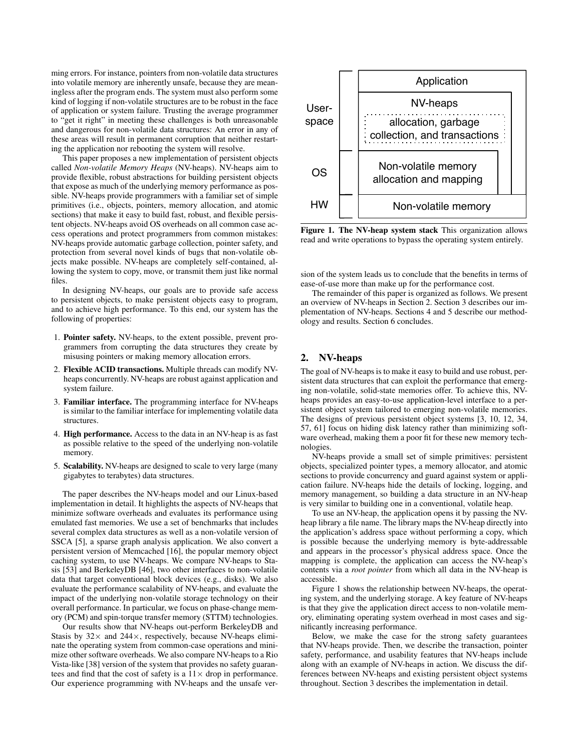ming errors. For instance, pointers from non-volatile data structures into volatile memory are inherently unsafe, because they are meaningless after the program ends. The system must also perform some kind of logging if non-volatile structures are to be robust in the face of application or system failure. Trusting the average programmer to "get it right" in meeting these challenges is both unreasonable and dangerous for non-volatile data structures: An error in any of these areas will result in permanent corruption that neither restarting the application nor rebooting the system will resolve.

This paper proposes a new implementation of persistent objects called *Non-volatile Memory Heaps* (NV-heaps). NV-heaps aim to provide flexible, robust abstractions for building persistent objects that expose as much of the underlying memory performance as possible. NV-heaps provide programmers with a familiar set of simple primitives (i.e., objects, pointers, memory allocation, and atomic sections) that make it easy to build fast, robust, and flexible persistent objects. NV-heaps avoid OS overheads on all common case access operations and protect programmers from common mistakes: NV-heaps provide automatic garbage collection, pointer safety, and protection from several novel kinds of bugs that non-volatile objects make possible. NV-heaps are completely self-contained, allowing the system to copy, move, or transmit them just like normal files.

In designing NV-heaps, our goals are to provide safe access to persistent objects, to make persistent objects easy to program, and to achieve high performance. To this end, our system has the following of properties:

- 1. Pointer safety. NV-heaps, to the extent possible, prevent programmers from corrupting the data structures they create by misusing pointers or making memory allocation errors.
- 2. Flexible ACID transactions. Multiple threads can modify NVheaps concurrently. NV-heaps are robust against application and system failure.
- 3. Familiar interface. The programming interface for NV-heaps is similar to the familiar interface for implementing volatile data structures.
- 4. High performance. Access to the data in an NV-heap is as fast as possible relative to the speed of the underlying non-volatile memory.
- 5. Scalability. NV-heaps are designed to scale to very large (many gigabytes to terabytes) data structures.

The paper describes the NV-heaps model and our Linux-based implementation in detail. It highlights the aspects of NV-heaps that minimize software overheads and evaluates its performance using emulated fast memories. We use a set of benchmarks that includes several complex data structures as well as a non-volatile version of SSCA [5], a sparse graph analysis application. We also convert a persistent version of Memcached [16], the popular memory object caching system, to use NV-heaps. We compare NV-heaps to Stasis [53] and BerkeleyDB [46], two other interfaces to non-volatile data that target conventional block devices (e.g., disks). We also evaluate the performance scalability of NV-heaps, and evaluate the impact of the underlying non-volatile storage technology on their overall performance. In particular, we focus on phase-change memory (PCM) and spin-torque transfer memory (STTM) technologies.

Our results show that NV-heaps out-perform BerkeleyDB and Stasis by  $32 \times$  and  $244 \times$ , respectively, because NV-heaps eliminate the operating system from common-case operations and minimize other software overheads. We also compare NV-heaps to a Rio Vista-like [38] version of the system that provides no safety guarantees and find that the cost of safety is a  $11 \times$  drop in performance. Our experience programming with NV-heaps and the unsafe ver-



Figure 1. The NV-heap system stack This organization allows read and write operations to bypass the operating system entirely.

sion of the system leads us to conclude that the benefits in terms of ease-of-use more than make up for the performance cost.

The remainder of this paper is organized as follows. We present an overview of NV-heaps in Section 2. Section 3 describes our implementation of NV-heaps. Sections 4 and 5 describe our methodology and results. Section 6 concludes.

# 2. NV-heaps

The goal of NV-heaps is to make it easy to build and use robust, persistent data structures that can exploit the performance that emerging non-volatile, solid-state memories offer. To achieve this, NVheaps provides an easy-to-use application-level interface to a persistent object system tailored to emerging non-volatile memories. The designs of previous persistent object systems [3, 10, 12, 34, 57, 61] focus on hiding disk latency rather than minimizing software overhead, making them a poor fit for these new memory technologies.

NV-heaps provide a small set of simple primitives: persistent objects, specialized pointer types, a memory allocator, and atomic sections to provide concurrency and guard against system or application failure. NV-heaps hide the details of locking, logging, and memory management, so building a data structure in an NV-heap is very similar to building one in a conventional, volatile heap.

To use an NV-heap, the application opens it by passing the NVheap library a file name. The library maps the NV-heap directly into the application's address space without performing a copy, which is possible because the underlying memory is byte-addressable and appears in the processor's physical address space. Once the mapping is complete, the application can access the NV-heap's contents via a *root pointer* from which all data in the NV-heap is accessible.

Figure 1 shows the relationship between NV-heaps, the operating system, and the underlying storage. A key feature of NV-heaps is that they give the application direct access to non-volatile memory, eliminating operating system overhead in most cases and significantly increasing performance.

Below, we make the case for the strong safety guarantees that NV-heaps provide. Then, we describe the transaction, pointer safety, performance, and usability features that NV-heaps include along with an example of NV-heaps in action. We discuss the differences between NV-heaps and existing persistent object systems throughout. Section 3 describes the implementation in detail.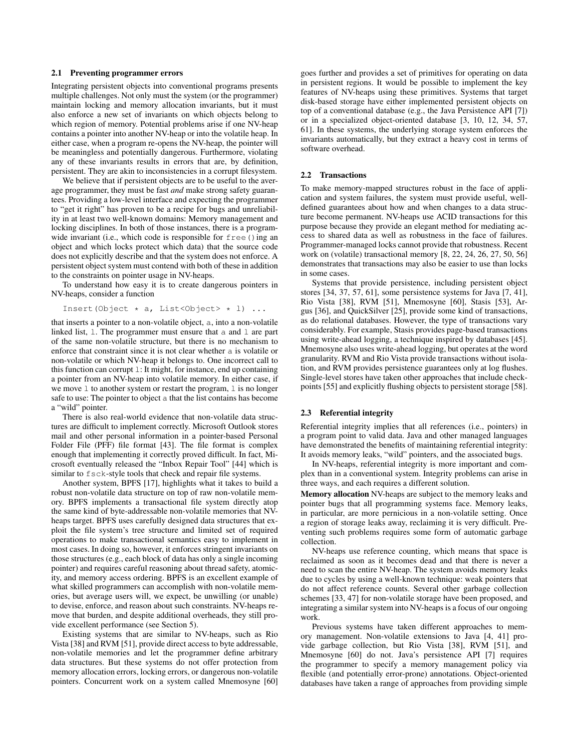## 2.1 Preventing programmer errors

Integrating persistent objects into conventional programs presents multiple challenges. Not only must the system (or the programmer) maintain locking and memory allocation invariants, but it must also enforce a new set of invariants on which objects belong to which region of memory. Potential problems arise if one NV-heap contains a pointer into another NV-heap or into the volatile heap. In either case, when a program re-opens the NV-heap, the pointer will be meaningless and potentially dangerous. Furthermore, violating any of these invariants results in errors that are, by definition, persistent. They are akin to inconsistencies in a corrupt filesystem.

We believe that if persistent objects are to be useful to the average programmer, they must be fast *and* make strong safety guarantees. Providing a low-level interface and expecting the programmer to "get it right" has proven to be a recipe for bugs and unreliability in at least two well-known domains: Memory management and locking disciplines. In both of those instances, there is a programwide invariant (i.e., which code is responsible for  $f$ ree() ing an object and which locks protect which data) that the source code does not explicitly describe and that the system does not enforce. A persistent object system must contend with both of these in addition to the constraints on pointer usage in NV-heaps.

To understand how easy it is to create dangerous pointers in NV-heaps, consider a function

Insert(Object  $* a$ , List<Object>  $* 1$ ) ...

that inserts a pointer to a non-volatile object, a, into a non-volatile linked list, 1. The programmer must ensure that a and 1 are part of the same non-volatile structure, but there is no mechanism to enforce that constraint since it is not clear whether a is volatile or non-volatile or which NV-heap it belongs to. One incorrect call to this function can corrupt l: It might, for instance, end up containing a pointer from an NV-heap into volatile memory. In either case, if we move  $\perp$  to another system or restart the program,  $\perp$  is no longer safe to use: The pointer to object a that the list contains has become a "wild" pointer.

There is also real-world evidence that non-volatile data structures are difficult to implement correctly. Microsoft Outlook stores mail and other personal information in a pointer-based Personal Folder File (PFF) file format [43]. The file format is complex enough that implementing it correctly proved difficult. In fact, Microsoft eventually released the "Inbox Repair Tool" [44] which is similar to  $f$ sck-style tools that check and repair file systems.

Another system, BPFS [17], highlights what it takes to build a robust non-volatile data structure on top of raw non-volatile memory. BPFS implements a transactional file system directly atop the same kind of byte-addressable non-volatile memories that NVheaps target. BPFS uses carefully designed data structures that exploit the file system's tree structure and limited set of required operations to make transactional semantics easy to implement in most cases. In doing so, however, it enforces stringent invariants on those structures (e.g., each block of data has only a single incoming pointer) and requires careful reasoning about thread safety, atomicity, and memory access ordering. BPFS is an excellent example of what skilled programmers can accomplish with non-volatile memories, but average users will, we expect, be unwilling (or unable) to devise, enforce, and reason about such constraints. NV-heaps remove that burden, and despite additional overheads, they still provide excellent performance (see Section 5).

Existing systems that are similar to NV-heaps, such as Rio Vista [38] and RVM [51], provide direct access to byte addressable, non-volatile memories and let the programmer define arbitrary data structures. But these systems do not offer protection from memory allocation errors, locking errors, or dangerous non-volatile pointers. Concurrent work on a system called Mnemosyne [60]

goes further and provides a set of primitives for operating on data in persistent regions. It would be possible to implement the key features of NV-heaps using these primitives. Systems that target disk-based storage have either implemented persistent objects on top of a conventional database (e.g., the Java Persistence API [7]) or in a specialized object-oriented database [3, 10, 12, 34, 57, 61]. In these systems, the underlying storage system enforces the invariants automatically, but they extract a heavy cost in terms of software overhead.

## 2.2 Transactions

To make memory-mapped structures robust in the face of application and system failures, the system must provide useful, welldefined guarantees about how and when changes to a data structure become permanent. NV-heaps use ACID transactions for this purpose because they provide an elegant method for mediating access to shared data as well as robustness in the face of failures. Programmer-managed locks cannot provide that robustness. Recent work on (volatile) transactional memory [8, 22, 24, 26, 27, 50, 56] demonstrates that transactions may also be easier to use than locks in some cases.

Systems that provide persistence, including persistent object stores [34, 37, 57, 61], some persistence systems for Java [7, 41], Rio Vista [38], RVM [51], Mnemosyne [60], Stasis [53], Argus [36], and QuickSilver [25], provide some kind of transactions, as do relational databases. However, the type of transactions vary considerably. For example, Stasis provides page-based transactions using write-ahead logging, a technique inspired by databases [45]. Mnemosyne also uses write-ahead logging, but operates at the word granularity. RVM and Rio Vista provide transactions without isolation, and RVM provides persistence guarantees only at log flushes. Single-level stores have taken other approaches that include checkpoints [55] and explicitly flushing objects to persistent storage [58].

#### 2.3 Referential integrity

Referential integrity implies that all references (i.e., pointers) in a program point to valid data. Java and other managed languages have demonstrated the benefits of maintaining referential integrity: It avoids memory leaks, "wild" pointers, and the associated bugs.

In NV-heaps, referential integrity is more important and complex than in a conventional system. Integrity problems can arise in three ways, and each requires a different solution.

Memory allocation NV-heaps are subject to the memory leaks and pointer bugs that all programming systems face. Memory leaks, in particular, are more pernicious in a non-volatile setting. Once a region of storage leaks away, reclaiming it is very difficult. Preventing such problems requires some form of automatic garbage collection.

NV-heaps use reference counting, which means that space is reclaimed as soon as it becomes dead and that there is never a need to scan the entire NV-heap. The system avoids memory leaks due to cycles by using a well-known technique: weak pointers that do not affect reference counts. Several other garbage collection schemes [33, 47] for non-volatile storage have been proposed, and integrating a similar system into NV-heaps is a focus of our ongoing work.

Previous systems have taken different approaches to memory management. Non-volatile extensions to Java [4, 41] provide garbage collection, but Rio Vista [38], RVM [51], and Mnemosyne [60] do not. Java's persistence API [7] requires the programmer to specify a memory management policy via flexible (and potentially error-prone) annotations. Object-oriented databases have taken a range of approaches from providing simple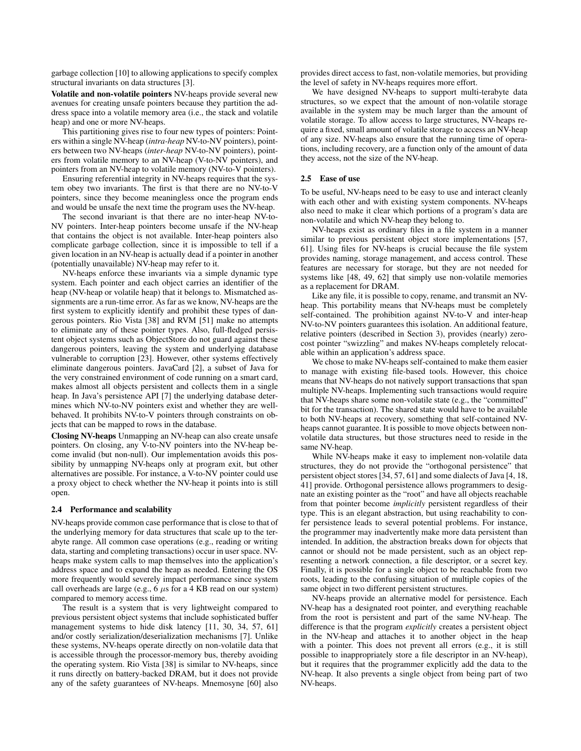garbage collection [10] to allowing applications to specify complex structural invariants on data structures [3].

Volatile and non-volatile pointers NV-heaps provide several new avenues for creating unsafe pointers because they partition the address space into a volatile memory area (i.e., the stack and volatile heap) and one or more NV-heaps.

This partitioning gives rise to four new types of pointers: Pointers within a single NV-heap (*intra-heap* NV-to-NV pointers), pointers between two NV-heaps (*inter-heap* NV-to-NV pointers), pointers from volatile memory to an NV-heap (V-to-NV pointers), and pointers from an NV-heap to volatile memory (NV-to-V pointers).

Ensuring referential integrity in NV-heaps requires that the system obey two invariants. The first is that there are no NV-to-V pointers, since they become meaningless once the program ends and would be unsafe the next time the program uses the NV-heap.

The second invariant is that there are no inter-heap NV-to-NV pointers. Inter-heap pointers become unsafe if the NV-heap that contains the object is not available. Inter-heap pointers also complicate garbage collection, since it is impossible to tell if a given location in an NV-heap is actually dead if a pointer in another (potentially unavailable) NV-heap may refer to it.

NV-heaps enforce these invariants via a simple dynamic type system. Each pointer and each object carries an identifier of the heap (NV-heap or volatile heap) that it belongs to. Mismatched assignments are a run-time error. As far as we know, NV-heaps are the first system to explicitly identify and prohibit these types of dangerous pointers. Rio Vista [38] and RVM [51] make no attempts to eliminate any of these pointer types. Also, full-fledged persistent object systems such as ObjectStore do not guard against these dangerous pointers, leaving the system and underlying database vulnerable to corruption [23]. However, other systems effectively eliminate dangerous pointers. JavaCard [2], a subset of Java for the very constrained environment of code running on a smart card, makes almost all objects persistent and collects them in a single heap. In Java's persistence API [7] the underlying database determines which NV-to-NV pointers exist and whether they are wellbehaved. It prohibits NV-to-V pointers through constraints on objects that can be mapped to rows in the database.

Closing NV-heaps Unmapping an NV-heap can also create unsafe pointers. On closing, any V-to-NV pointers into the NV-heap become invalid (but non-null). Our implementation avoids this possibility by unmapping NV-heaps only at program exit, but other alternatives are possible. For instance, a V-to-NV pointer could use a proxy object to check whether the NV-heap it points into is still open.

## 2.4 Performance and scalability

NV-heaps provide common case performance that is close to that of the underlying memory for data structures that scale up to the terabyte range. All common case operations (e.g., reading or writing data, starting and completing transactions) occur in user space. NVheaps make system calls to map themselves into the application's address space and to expand the heap as needed. Entering the OS more frequently would severely impact performance since system call overheads are large (e.g.,  $6 \mu s$  for a 4 KB read on our system) compared to memory access time.

The result is a system that is very lightweight compared to previous persistent object systems that include sophisticated buffer management systems to hide disk latency [11, 30, 34, 57, 61] and/or costly serialization/deserialization mechanisms [7]. Unlike these systems, NV-heaps operate directly on non-volatile data that is accessible through the processor-memory bus, thereby avoiding the operating system. Rio Vista [38] is similar to NV-heaps, since it runs directly on battery-backed DRAM, but it does not provide any of the safety guarantees of NV-heaps. Mnemosyne [60] also provides direct access to fast, non-volatile memories, but providing the level of safety in NV-heaps requires more effort.

We have designed NV-heaps to support multi-terabyte data structures, so we expect that the amount of non-volatile storage available in the system may be much larger than the amount of volatile storage. To allow access to large structures, NV-heaps require a fixed, small amount of volatile storage to access an NV-heap of any size. NV-heaps also ensure that the running time of operations, including recovery, are a function only of the amount of data they access, not the size of the NV-heap.

## 2.5 Ease of use

To be useful, NV-heaps need to be easy to use and interact cleanly with each other and with existing system components. NV-heaps also need to make it clear which portions of a program's data are non-volatile and which NV-heap they belong to.

NV-heaps exist as ordinary files in a file system in a manner similar to previous persistent object store implementations [57, 61]. Using files for NV-heaps is crucial because the file system provides naming, storage management, and access control. These features are necessary for storage, but they are not needed for systems like [48, 49, 62] that simply use non-volatile memories as a replacement for DRAM.

Like any file, it is possible to copy, rename, and transmit an NVheap. This portability means that NV-heaps must be completely self-contained. The prohibition against NV-to-V and inter-heap NV-to-NV pointers guarantees this isolation. An additional feature, relative pointers (described in Section 3), provides (nearly) zerocost pointer "swizzling" and makes NV-heaps completely relocatable within an application's address space.

We chose to make NV-heaps self-contained to make them easier to manage with existing file-based tools. However, this choice means that NV-heaps do not natively support transactions that span multiple NV-heaps. Implementing such transactions would require that NV-heaps share some non-volatile state (e.g., the "committed" bit for the transaction). The shared state would have to be available to both NV-heaps at recovery, something that self-contained NVheaps cannot guarantee. It is possible to move objects between nonvolatile data structures, but those structures need to reside in the same NV-heap.

While NV-heaps make it easy to implement non-volatile data structures, they do not provide the "orthogonal persistence" that persistent object stores [34, 57, 61] and some dialects of Java [4, 18, 41] provide. Orthogonal persistence allows programmers to designate an existing pointer as the "root" and have all objects reachable from that pointer become *implicitly* persistent regardless of their type. This is an elegant abstraction, but using reachability to confer persistence leads to several potential problems. For instance, the programmer may inadvertently make more data persistent than intended. In addition, the abstraction breaks down for objects that cannot or should not be made persistent, such as an object representing a network connection, a file descriptor, or a secret key. Finally, it is possible for a single object to be reachable from two roots, leading to the confusing situation of multiple copies of the same object in two different persistent structures.

NV-heaps provide an alternative model for persistence. Each NV-heap has a designated root pointer, and everything reachable from the root is persistent and part of the same NV-heap. The difference is that the program *explicitly* creates a persistent object in the NV-heap and attaches it to another object in the heap with a pointer. This does not prevent all errors (e.g., it is still possible to inappropriately store a file descriptor in an NV-heap), but it requires that the programmer explicitly add the data to the NV-heap. It also prevents a single object from being part of two NV-heaps.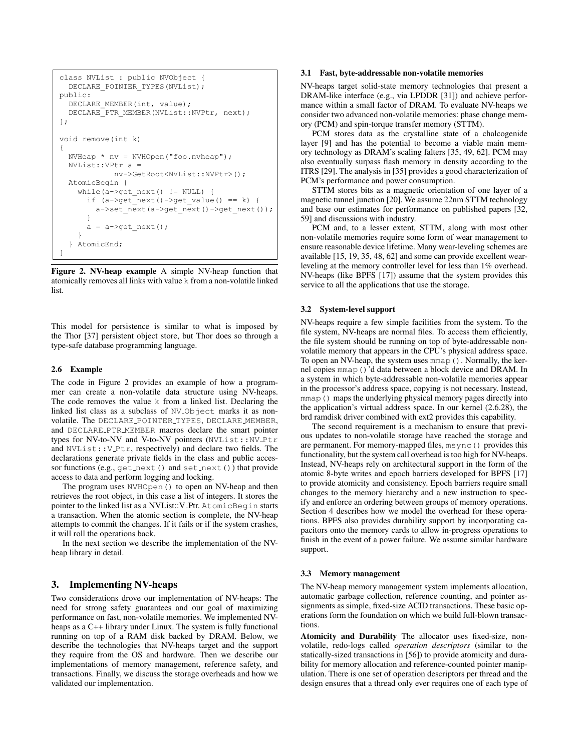```
class NVList : public NVObject {
  DECLARE_POINTER_TYPES(NVList);
public:
  DECLARE MEMBER(int, value);
  DECLARE_PTR_MEMBER(NVList::NVPtr, next);
};
void remove(int k)
{
  NVHeap * nv = NVHOpen("foo.nvheap");
   NVList::VPtr a = 
             nv->GetRoot<NVList::NVPtr>();
   AtomicBegin {
    while(a->get next() != NULL) {
      if (a-\text{sqrt}(x)-\text{sqrt}(x)) == k)
        a->set_next(a->get_next()->get_next());
 }
      a = a->get next();
 }
   } AtomicEnd; 
}
```
Figure 2. NV-heap example A simple NV-heap function that atomically removes all links with value k from a non-volatile linked list.

This model for persistence is similar to what is imposed by the Thor [37] persistent object store, but Thor does so through a type-safe database programming language.

## 2.6 Example

The code in Figure 2 provides an example of how a programmer can create a non-volatile data structure using NV-heaps. The code removes the value k from a linked list. Declaring the linked list class as a subclass of NV Object marks it as nonvolatile. The DECLARE POINTER TYPES, DECLARE MEMBER, and DECLARE PTR MEMBER macros declare the smart pointer types for NV-to-NV and V-to-NV pointers (NVList::NV\_Ptr and NVList::V Ptr, respectively) and declare two fields. The declarations generate private fields in the class and public accessor functions (e.g., get\_next() and set\_next()) that provide access to data and perform logging and locking.

The program uses NVHOpen() to open an NV-heap and then retrieves the root object, in this case a list of integers. It stores the pointer to the linked list as a NVList::V Ptr. AtomicBegin starts a transaction. When the atomic section is complete, the NV-heap attempts to commit the changes. If it fails or if the system crashes, it will roll the operations back.

In the next section we describe the implementation of the NVheap library in detail.

# 3. Implementing NV-heaps

Two considerations drove our implementation of NV-heaps: The need for strong safety guarantees and our goal of maximizing performance on fast, non-volatile memories. We implemented NVheaps as a C++ library under Linux. The system is fully functional running on top of a RAM disk backed by DRAM. Below, we describe the technologies that NV-heaps target and the support they require from the OS and hardware. Then we describe our implementations of memory management, reference safety, and transactions. Finally, we discuss the storage overheads and how we validated our implementation.

## 3.1 Fast, byte-addressable non-volatile memories

NV-heaps target solid-state memory technologies that present a DRAM-like interface (e.g., via LPDDR [31]) and achieve performance within a small factor of DRAM. To evaluate NV-heaps we consider two advanced non-volatile memories: phase change memory (PCM) and spin-torque transfer memory (STTM).

PCM stores data as the crystalline state of a chalcogenide layer [9] and has the potential to become a viable main memory technology as DRAM's scaling falters [35, 49, 62]. PCM may also eventually surpass flash memory in density according to the ITRS [29]. The analysis in [35] provides a good characterization of PCM's performance and power consumption.

STTM stores bits as a magnetic orientation of one layer of a magnetic tunnel junction [20]. We assume 22nm STTM technology and base our estimates for performance on published papers [32, 59] and discussions with industry.

PCM and, to a lesser extent, STTM, along with most other non-volatile memories require some form of wear management to ensure reasonable device lifetime. Many wear-leveling schemes are available [15, 19, 35, 48, 62] and some can provide excellent wearleveling at the memory controller level for less than 1% overhead. NV-heaps (like BPFS [17]) assume that the system provides this service to all the applications that use the storage.

#### 3.2 System-level support

NV-heaps require a few simple facilities from the system. To the file system, NV-heaps are normal files. To access them efficiently, the file system should be running on top of byte-addressable nonvolatile memory that appears in the CPU's physical address space. To open an NV-heap, the system uses mmap(). Normally, the kernel copies mmap()'d data between a block device and DRAM. In a system in which byte-addressable non-volatile memories appear in the processor's address space, copying is not necessary. Instead, mmap() maps the underlying physical memory pages directly into the application's virtual address space. In our kernel (2.6.28), the brd ramdisk driver combined with ext2 provides this capability.

The second requirement is a mechanism to ensure that previous updates to non-volatile storage have reached the storage and are permanent. For memory-mapped files, msync() provides this functionality, but the system call overhead istoo high for NV-heaps. Instead, NV-heaps rely on architectural support in the form of the atomic 8-byte writes and epoch barriers developed for BPFS [17] to provide atomicity and consistency. Epoch barriers require small changes to the memory hierarchy and a new instruction to specify and enforce an ordering between groups of memory operations. Section 4 describes how we model the overhead for these operations. BPFS also provides durability support by incorporating capacitors onto the memory cards to allow in-progress operations to finish in the event of a power failure. We assume similar hardware support.

#### 3.3 Memory management

The NV-heap memory management system implements allocation, automatic garbage collection, reference counting, and pointer assignments as simple, fixed-size ACID transactions. These basic operations form the foundation on which we build full-blown transactions.

Atomicity and Durability The allocator uses fixed-size, nonvolatile, redo-logs called *operation descriptors* (similar to the statically-sized transactions in [56]) to provide atomicity and durability for memory allocation and reference-counted pointer manipulation. There is one set of operation descriptors per thread and the design ensures that a thread only ever requires one of each type of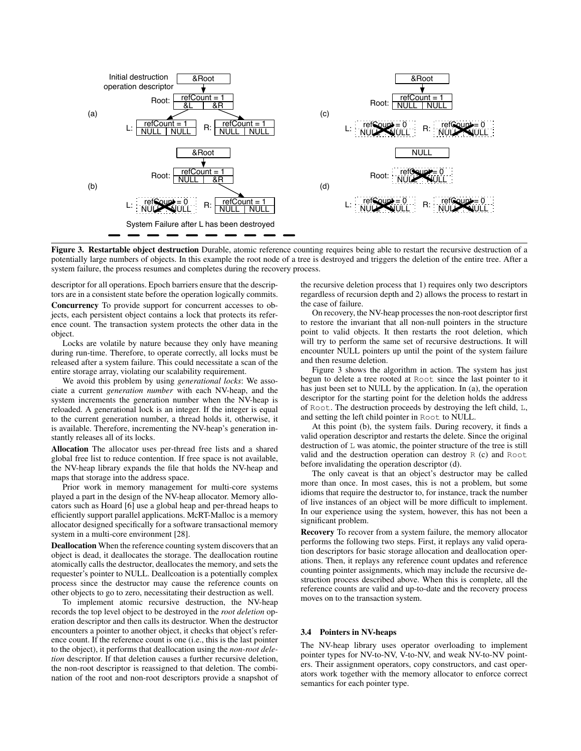

Figure 3. Restartable object destruction Durable, atomic reference counting requires being able to restart the recursive destruction of a potentially large numbers of objects. In this example the root node of a tree is destroyed and triggers the deletion of the entire tree. After a system failure, the process resumes and completes during the recovery process.

descriptor for all operations. Epoch barriers ensure that the descriptors are in a consistent state before the operation logically commits.

Concurrency To provide support for concurrent accesses to objects, each persistent object contains a lock that protects its reference count. The transaction system protects the other data in the object.

Locks are volatile by nature because they only have meaning during run-time. Therefore, to operate correctly, all locks must be released after a system failure. This could necessitate a scan of the entire storage array, violating our scalability requirement.

We avoid this problem by using *generational locks*: We associate a current *generation number* with each NV-heap, and the system increments the generation number when the NV-heap is reloaded. A generational lock is an integer. If the integer is equal to the current generation number, a thread holds it, otherwise, it is available. Therefore, incrementing the NV-heap's generation instantly releases all of its locks.

Allocation The allocator uses per-thread free lists and a shared global free list to reduce contention. If free space is not available, the NV-heap library expands the file that holds the NV-heap and maps that storage into the address space.

Prior work in memory management for multi-core systems played a part in the design of the NV-heap allocator. Memory allocators such as Hoard [6] use a global heap and per-thread heaps to efficiently support parallel applications. McRT-Malloc is a memory allocator designed specifically for a software transactional memory system in a multi-core environment [28].

Deallocation When the reference counting system discovers that an object is dead, it deallocates the storage. The deallocation routine atomically calls the destructor, deallocates the memory, and sets the requester's pointer to NULL. Deallcoation is a potentially complex process since the destructor may cause the reference counts on other objects to go to zero, necessitating their destruction as well.

To implement atomic recursive destruction, the NV-heap records the top level object to be destroyed in the *root deletion* operation descriptor and then calls its destructor. When the destructor encounters a pointer to another object, it checks that object's reference count. If the reference count is one (i.e., this is the last pointer to the object), it performs that deallocation using the *non-root deletion* descriptor. If that deletion causes a further recursive deletion, the non-root descriptor is reassigned to that deletion. The combination of the root and non-root descriptors provide a snapshot of

the recursive deletion process that 1) requires only two descriptors regardless of recursion depth and 2) allows the process to restart in the case of failure.

On recovery, the NV-heap processes the non-root descriptor first to restore the invariant that all non-null pointers in the structure point to valid objects. It then restarts the root deletion, which will try to perform the same set of recursive destructions. It will encounter NULL pointers up until the point of the system failure and then resume deletion.

Figure 3 shows the algorithm in action. The system has just begun to delete a tree rooted at Root since the last pointer to it has just been set to NULL by the application. In (a), the operation descriptor for the starting point for the deletion holds the address of Root. The destruction proceeds by destroying the left child, L, and setting the left child pointer in Root to NULL.

At this point (b), the system fails. During recovery, it finds a valid operation descriptor and restarts the delete. Since the original destruction of L was atomic, the pointer structure of the tree is still valid and the destruction operation can destroy R (c) and Root before invalidating the operation descriptor (d).

The only caveat is that an object's destructor may be called more than once. In most cases, this is not a problem, but some idioms that require the destructor to, for instance, track the number of live instances of an object will be more difficult to implement. In our experience using the system, however, this has not been a significant problem.

Recovery To recover from a system failure, the memory allocator performs the following two steps. First, it replays any valid operation descriptors for basic storage allocation and deallocation operations. Then, it replays any reference count updates and reference counting pointer assignments, which may include the recursive destruction process described above. When this is complete, all the reference counts are valid and up-to-date and the recovery process moves on to the transaction system.

#### 3.4 Pointers in NV-heaps

The NV-heap library uses operator overloading to implement pointer types for NV-to-NV, V-to-NV, and weak NV-to-NV pointers. Their assignment operators, copy constructors, and cast operators work together with the memory allocator to enforce correct semantics for each pointer type.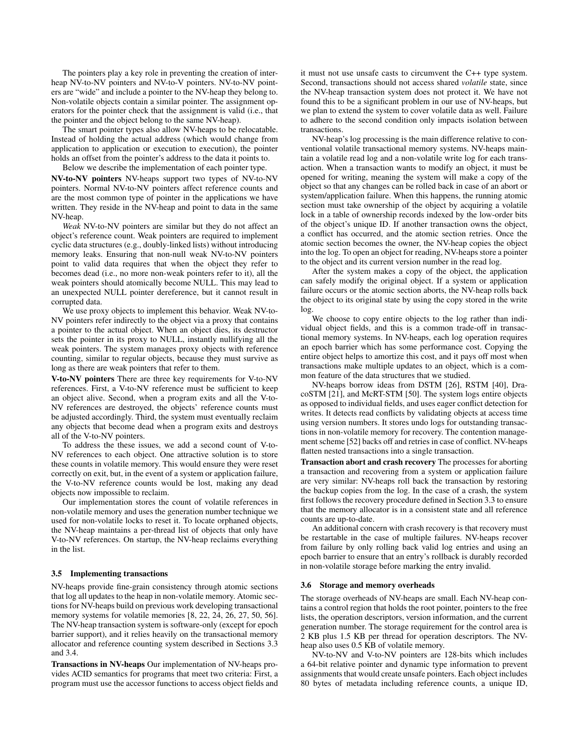The pointers play a key role in preventing the creation of interheap NV-to-NV pointers and NV-to-V pointers. NV-to-NV pointers are "wide" and include a pointer to the NV-heap they belong to. Non-volatile objects contain a similar pointer. The assignment operators for the pointer check that the assignment is valid (i.e., that the pointer and the object belong to the same NV-heap).

The smart pointer types also allow NV-heaps to be relocatable. Instead of holding the actual address (which would change from application to application or execution to execution), the pointer holds an offset from the pointer's address to the data it points to.

Below we describe the implementation of each pointer type.

NV-to-NV pointers NV-heaps support two types of NV-to-NV pointers. Normal NV-to-NV pointers affect reference counts and are the most common type of pointer in the applications we have written. They reside in the NV-heap and point to data in the same NV-heap.

*Weak* NV-to-NV pointers are similar but they do not affect an object's reference count. Weak pointers are required to implement cyclic data structures (e.g., doubly-linked lists) without introducing memory leaks. Ensuring that non-null weak NV-to-NV pointers point to valid data requires that when the object they refer to becomes dead (i.e., no more non-weak pointers refer to it), all the weak pointers should atomically become NULL. This may lead to an unexpected NULL pointer dereference, but it cannot result in corrupted data.

We use proxy objects to implement this behavior. Weak NV-to-NV pointers refer indirectly to the object via a proxy that contains a pointer to the actual object. When an object dies, its destructor sets the pointer in its proxy to NULL, instantly nullifying all the weak pointers. The system manages proxy objects with reference counting, similar to regular objects, because they must survive as long as there are weak pointers that refer to them.

V-to-NV pointers There are three key requirements for V-to-NV references. First, a V-to-NV reference must be sufficient to keep an object alive. Second, when a program exits and all the V-to-NV references are destroyed, the objects' reference counts must be adjusted accordingly. Third, the system must eventually reclaim any objects that become dead when a program exits and destroys all of the V-to-NV pointers.

To address the these issues, we add a second count of V-to-NV references to each object. One attractive solution is to store these counts in volatile memory. This would ensure they were reset correctly on exit, but, in the event of a system or application failure, the V-to-NV reference counts would be lost, making any dead objects now impossible to reclaim.

Our implementation stores the count of volatile references in non-volatile memory and uses the generation number technique we used for non-volatile locks to reset it. To locate orphaned objects, the NV-heap maintains a per-thread list of objects that only have V-to-NV references. On startup, the NV-heap reclaims everything in the list.

#### 3.5 Implementing transactions

NV-heaps provide fine-grain consistency through atomic sections that log all updates to the heap in non-volatile memory. Atomic sections for NV-heaps build on previous work developing transactional memory systems for volatile memories [8, 22, 24, 26, 27, 50, 56]. The NV-heap transaction system is software-only (except for epoch barrier support), and it relies heavily on the transactional memory allocator and reference counting system described in Sections 3.3 and 3.4.

Transactions in NV-heaps Our implementation of NV-heaps provides ACID semantics for programs that meet two criteria: First, a program must use the accessor functions to access object fields and it must not use unsafe casts to circumvent the C++ type system. Second, transactions should not access shared *volatile* state, since the NV-heap transaction system does not protect it. We have not found this to be a significant problem in our use of NV-heaps, but we plan to extend the system to cover volatile data as well. Failure to adhere to the second condition only impacts isolation between transactions.

NV-heap's log processing is the main difference relative to conventional volatile transactional memory systems. NV-heaps maintain a volatile read log and a non-volatile write log for each transaction. When a transaction wants to modify an object, it must be opened for writing, meaning the system will make a copy of the object so that any changes can be rolled back in case of an abort or system/application failure. When this happens, the running atomic section must take ownership of the object by acquiring a volatile lock in a table of ownership records indexed by the low-order bits of the object's unique ID. If another transaction owns the object, a conflict has occurred, and the atomic section retries. Once the atomic section becomes the owner, the NV-heap copies the object into the log. To open an object for reading, NV-heaps store a pointer to the object and its current version number in the read log.

After the system makes a copy of the object, the application can safely modify the original object. If a system or application failure occurs or the atomic section aborts, the NV-heap rolls back the object to its original state by using the copy stored in the write log.

We choose to copy entire objects to the log rather than individual object fields, and this is a common trade-off in transactional memory systems. In NV-heaps, each log operation requires an epoch barrier which has some performance cost. Copying the entire object helps to amortize this cost, and it pays off most when transactions make multiple updates to an object, which is a common feature of the data structures that we studied.

NV-heaps borrow ideas from DSTM [26], RSTM [40], DracoSTM [21], and McRT-STM [50]. The system logs entire objects as opposed to individual fields, and uses eager conflict detection for writes. It detects read conflicts by validating objects at access time using version numbers. It stores undo logs for outstanding transactions in non-volatile memory for recovery. The contention management scheme [52] backs off and retries in case of conflict. NV-heaps flatten nested transactions into a single transaction.

Transaction abort and crash recovery The processes for aborting a transaction and recovering from a system or application failure are very similar: NV-heaps roll back the transaction by restoring the backup copies from the log. In the case of a crash, the system first follows the recovery procedure defined in Section 3.3 to ensure that the memory allocator is in a consistent state and all reference counts are up-to-date.

An additional concern with crash recovery is that recovery must be restartable in the case of multiple failures. NV-heaps recover from failure by only rolling back valid log entries and using an epoch barrier to ensure that an entry's rollback is durably recorded in non-volatile storage before marking the entry invalid.

#### 3.6 Storage and memory overheads

The storage overheads of NV-heaps are small. Each NV-heap contains a control region that holds the root pointer, pointers to the free lists, the operation descriptors, version information, and the current generation number. The storage requirement for the control area is 2 KB plus 1.5 KB per thread for operation descriptors. The NVheap also uses 0.5 KB of volatile memory.

NV-to-NV and V-to-NV pointers are 128-bits which includes a 64-bit relative pointer and dynamic type information to prevent assignments that would create unsafe pointers. Each object includes 80 bytes of metadata including reference counts, a unique ID,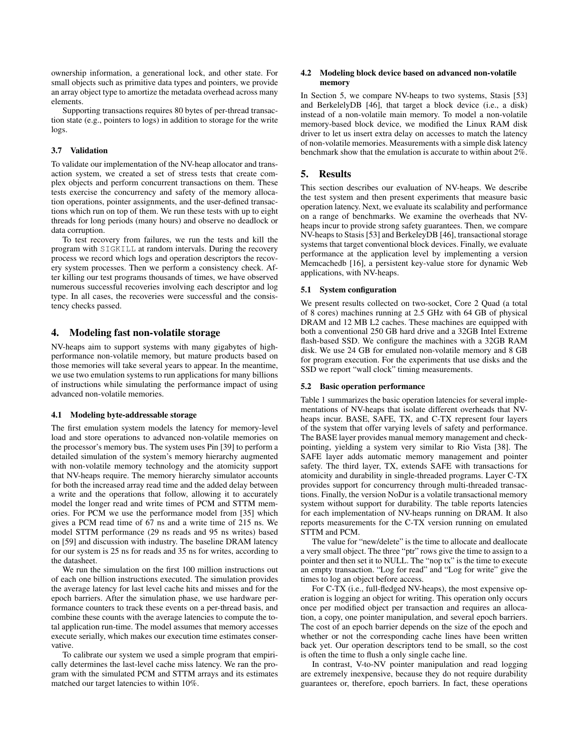ownership information, a generational lock, and other state. For small objects such as primitive data types and pointers, we provide an array object type to amortize the metadata overhead across many elements.

Supporting transactions requires 80 bytes of per-thread transaction state (e.g., pointers to logs) in addition to storage for the write logs.

## 3.7 Validation

To validate our implementation of the NV-heap allocator and transaction system, we created a set of stress tests that create complex objects and perform concurrent transactions on them. These tests exercise the concurrency and safety of the memory allocation operations, pointer assignments, and the user-defined transactions which run on top of them. We run these tests with up to eight threads for long periods (many hours) and observe no deadlock or data corruption.

To test recovery from failures, we run the tests and kill the program with SIGKILL at random intervals. During the recovery process we record which logs and operation descriptors the recovery system processes. Then we perform a consistency check. After killing our test programs thousands of times, we have observed numerous successful recoveries involving each descriptor and log type. In all cases, the recoveries were successful and the consistency checks passed.

# 4. Modeling fast non-volatile storage

NV-heaps aim to support systems with many gigabytes of highperformance non-volatile memory, but mature products based on those memories will take several years to appear. In the meantime, we use two emulation systems to run applications for many billions of instructions while simulating the performance impact of using advanced non-volatile memories.

#### 4.1 Modeling byte-addressable storage

The first emulation system models the latency for memory-level load and store operations to advanced non-volatile memories on the processor's memory bus. The system uses Pin [39] to perform a detailed simulation of the system's memory hierarchy augmented with non-volatile memory technology and the atomicity support that NV-heaps require. The memory hierarchy simulator accounts for both the increased array read time and the added delay between a write and the operations that follow, allowing it to accurately model the longer read and write times of PCM and STTM memories. For PCM we use the performance model from [35] which gives a PCM read time of 67 ns and a write time of 215 ns. We model STTM performance (29 ns reads and 95 ns writes) based on [59] and discussion with industry. The baseline DRAM latency for our system is 25 ns for reads and 35 ns for writes, according to the datasheet.

We run the simulation on the first 100 million instructions out of each one billion instructions executed. The simulation provides the average latency for last level cache hits and misses and for the epoch barriers. After the simulation phase, we use hardware performance counters to track these events on a per-thread basis, and combine these counts with the average latencies to compute the total application run-time. The model assumes that memory accesses execute serially, which makes our execution time estimates conservative.

To calibrate our system we used a simple program that empirically determines the last-level cache miss latency. We ran the program with the simulated PCM and STTM arrays and its estimates matched our target latencies to within 10%.

#### 4.2 Modeling block device based on advanced non-volatile memory

In Section 5, we compare NV-heaps to two systems, Stasis [53] and BerkelelyDB [46], that target a block device (i.e., a disk) instead of a non-volatile main memory. To model a non-volatile memory-based block device, we modified the Linux RAM disk driver to let us insert extra delay on accesses to match the latency of non-volatile memories. Measurements with a simple disk latency benchmark show that the emulation is accurate to within about 2%.

## 5. Results

This section describes our evaluation of NV-heaps. We describe the test system and then present experiments that measure basic operation latency. Next, we evaluate its scalability and performance on a range of benchmarks. We examine the overheads that NVheaps incur to provide strong safety guarantees. Then, we compare NV-heaps to Stasis [53] and BerkeleyDB [46], transactional storage systems that target conventional block devices. Finally, we evaluate performance at the application level by implementing a version Memcachedb [16], a persistent key-value store for dynamic Web applications, with NV-heaps.

## 5.1 System configuration

We present results collected on two-socket, Core 2 Quad (a total of 8 cores) machines running at 2.5 GHz with 64 GB of physical DRAM and 12 MB L2 caches. These machines are equipped with both a conventional 250 GB hard drive and a 32GB Intel Extreme flash-based SSD. We configure the machines with a 32GB RAM disk. We use 24 GB for emulated non-volatile memory and 8 GB for program execution. For the experiments that use disks and the SSD we report "wall clock" timing measurements.

#### 5.2 Basic operation performance

Table 1 summarizes the basic operation latencies for several implementations of NV-heaps that isolate different overheads that NVheaps incur. BASE, SAFE, TX, and C-TX represent four layers of the system that offer varying levels of safety and performance. The BASE layer provides manual memory management and checkpointing, yielding a system very similar to Rio Vista [38]. The SAFE layer adds automatic memory management and pointer safety. The third layer, TX, extends SAFE with transactions for atomicity and durability in single-threaded programs. Layer C-TX provides support for concurrency through multi-threaded transactions. Finally, the version NoDur is a volatile transactional memory system without support for durability. The table reports latencies for each implementation of NV-heaps running on DRAM. It also reports measurements for the C-TX version running on emulated STTM and PCM.

The value for "new/delete" is the time to allocate and deallocate a very small object. The three "ptr" rows give the time to assign to a pointer and then set it to NULL. The "nop tx" is the time to execute an empty transaction. "Log for read" and "Log for write" give the times to log an object before access.

For C-TX (i.e., full-fledged NV-heaps), the most expensive operation is logging an object for writing. This operation only occurs once per modified object per transaction and requires an allocation, a copy, one pointer manipulation, and several epoch barriers. The cost of an epoch barrier depends on the size of the epoch and whether or not the corresponding cache lines have been written back yet. Our operation descriptors tend to be small, so the cost is often the time to flush a only single cache line.

In contrast, V-to-NV pointer manipulation and read logging are extremely inexpensive, because they do not require durability guarantees or, therefore, epoch barriers. In fact, these operations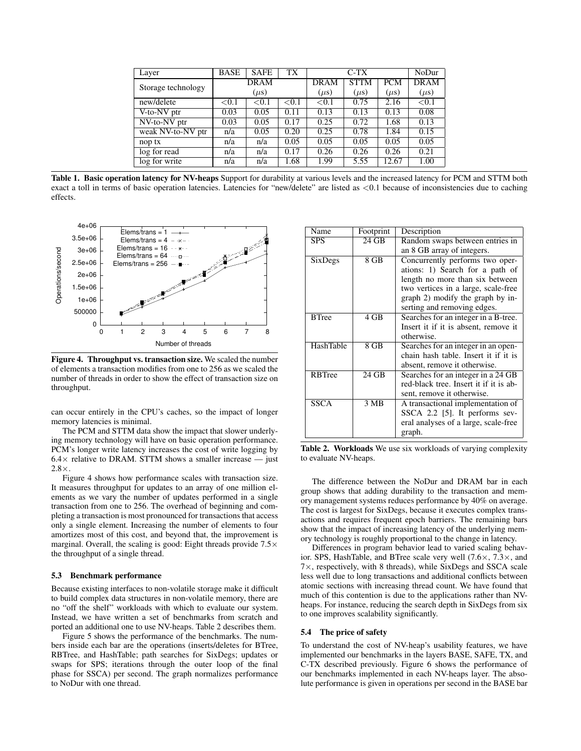| Layer              | <b>BASE</b> | <b>SAFE</b> | TX          |             | $C-TX$     |           | NoDur     |
|--------------------|-------------|-------------|-------------|-------------|------------|-----------|-----------|
| Storage technology | <b>DRAM</b> |             | <b>DRAM</b> | <b>STTM</b> | <b>PCM</b> | DRAM      |           |
|                    | $(\mu s)$   |             |             | $(\mu s)$   | $(\mu s)$  | $(\mu s)$ | $(\mu s)$ |
| new/delete         | < 0.1       | < 0.1       | < 0.1       | < 0.1       | 0.75       | 2.16      | < 0.1     |
| V-to-NV ptr        | 0.03        | 0.05        | 0.11        | 0.13        | 0.13       | 0.13      | 0.08      |
| NV-to-NV ptr       | 0.03        | 0.05        | 0.17        | 0.25        | 0.72       | 1.68      | 0.13      |
| weak NV-to-NV ptr  | n/a         | 0.05        | 0.20        | 0.25        | 0.78       | 1.84      | 0.15      |
| nop tx             | n/a         | n/a         | 0.05        | 0.05        | 0.05       | 0.05      | 0.05      |
| log for read       | n/a         | n/a         | 0.17        | 0.26        | 0.26       | 0.26      | 0.21      |
| log for write      | n/a         | n/a         | 1.68        | 1.99        | 5.55       | 12.67     | 1.00      |

Table 1. Basic operation latency for NV-heaps Support for durability at various levels and the increased latency for PCM and STTM both exact a toll in terms of basic operation latencies. Latencies for "new/delete" are listed as <0.1 because of inconsistencies due to caching effects.



Figure 4. Throughput vs. transaction size. We scaled the number of elements a transaction modifies from one to 256 as we scaled the number of threads in order to show the effect of transaction size on throughput.

can occur entirely in the CPU's caches, so the impact of longer memory latencies is minimal.

The PCM and STTM data show the impact that slower underlying memory technology will have on basic operation performance. PCM's longer write latency increases the cost of write logging by  $6.4\times$  relative to DRAM. STTM shows a smaller increase — just  $2.8\times$ .

Figure 4 shows how performance scales with transaction size. It measures throughput for updates to an array of one million elements as we vary the number of updates performed in a single transaction from one to 256. The overhead of beginning and completing a transaction is most pronounced for transactions that access only a single element. Increasing the number of elements to four amortizes most of this cost, and beyond that, the improvement is marginal. Overall, the scaling is good: Eight threads provide  $7.5\times$ the throughput of a single thread.

#### 5.3 Benchmark performance

Because existing interfaces to non-volatile storage make it difficult to build complex data structures in non-volatile memory, there are no "off the shelf" workloads with which to evaluate our system. Instead, we have written a set of benchmarks from scratch and ported an additional one to use NV-heaps. Table 2 describes them.

Figure 5 shows the performance of the benchmarks. The numbers inside each bar are the operations (inserts/deletes for BTree, RBTree, and HashTable; path searches for SixDegs; updates or swaps for SPS; iterations through the outer loop of the final phase for SSCA) per second. The graph normalizes performance to NoDur with one thread.

| Name          | Footprint                 | Description                                                                                                                                                                                                     |
|---------------|---------------------------|-----------------------------------------------------------------------------------------------------------------------------------------------------------------------------------------------------------------|
| <b>SPS</b>    | 24 GB                     | Random swaps between entries in<br>an 8 GB array of integers.                                                                                                                                                   |
| SixDegs       | 8 GB                      | Concurrently performs two oper-<br>ations: 1) Search for a path of<br>length no more than six between<br>two vertices in a large, scale-free<br>graph 2) modify the graph by in-<br>serting and removing edges. |
| <b>B</b> Tree | $\overline{4 \text{ GB}}$ | Searches for an integer in a B-tree.<br>Insert it if it is absent, remove it<br>otherwise.                                                                                                                      |
| HashTable     | 8 GB                      | Searches for an integer in an open-<br>chain hash table. Insert it if it is<br>absent, remove it otherwise.                                                                                                     |
| RBTree        | 24 GB                     | Searches for an integer in a 24 GB<br>red-black tree. Insert it if it is ab-<br>sent, remove it otherwise.                                                                                                      |
| SSCA          | 3 MB                      | A transactional implementation of<br>SSCA 2.2 [5]. It performs sev-<br>eral analyses of a large, scale-free<br>graph.                                                                                           |

Table 2. Workloads We use six workloads of varying complexity to evaluate NV-heaps.

The difference between the NoDur and DRAM bar in each group shows that adding durability to the transaction and memory management systems reduces performance by 40% on average. The cost is largest for SixDegs, because it executes complex transactions and requires frequent epoch barriers. The remaining bars show that the impact of increasing latency of the underlying memory technology is roughly proportional to the change in latency.

Differences in program behavior lead to varied scaling behavior. SPS, HashTable, and BTree scale very well (7.6×, 7.3×, and 7×, respectively, with 8 threads), while SixDegs and SSCA scale less well due to long transactions and additional conflicts between atomic sections with increasing thread count. We have found that much of this contention is due to the applications rather than NVheaps. For instance, reducing the search depth in SixDegs from six to one improves scalability significantly.

#### 5.4 The price of safety

To understand the cost of NV-heap's usability features, we have implemented our benchmarks in the layers BASE, SAFE, TX, and C-TX described previously. Figure 6 shows the performance of our benchmarks implemented in each NV-heaps layer. The absolute performance is given in operations per second in the BASE bar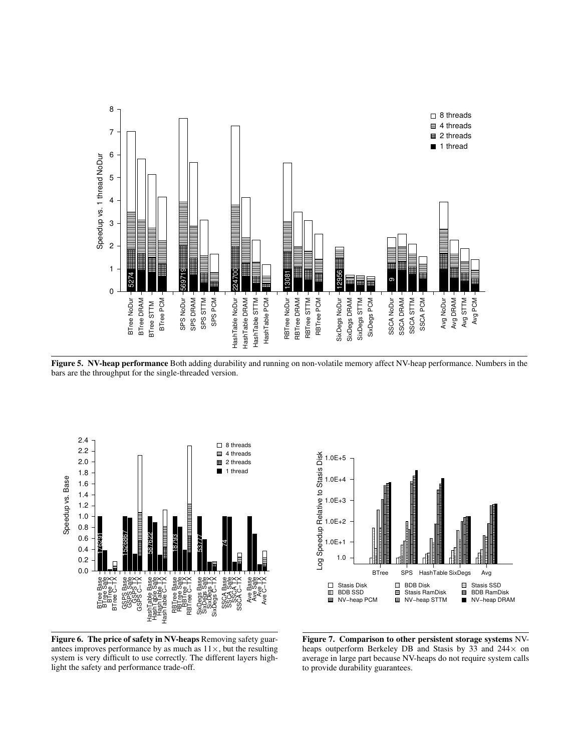

Figure 5. NV-heap performance Both adding durability and running on non-volatile memory affect NV-heap performance. Numbers in the bars are the throughput for the single-threaded version.





Figure 6. The price of safety in NV-heaps Removing safety guarantees improves performance by as much as  $11 \times$ , but the resulting system is very difficult to use correctly. The different layers highlight the safety and performance trade-off.

Figure 7. Comparison to other persistent storage systems NVheaps outperform Berkeley DB and Stasis by 33 and  $244 \times$  on average in large part because NV-heaps do not require system calls to provide durability guarantees.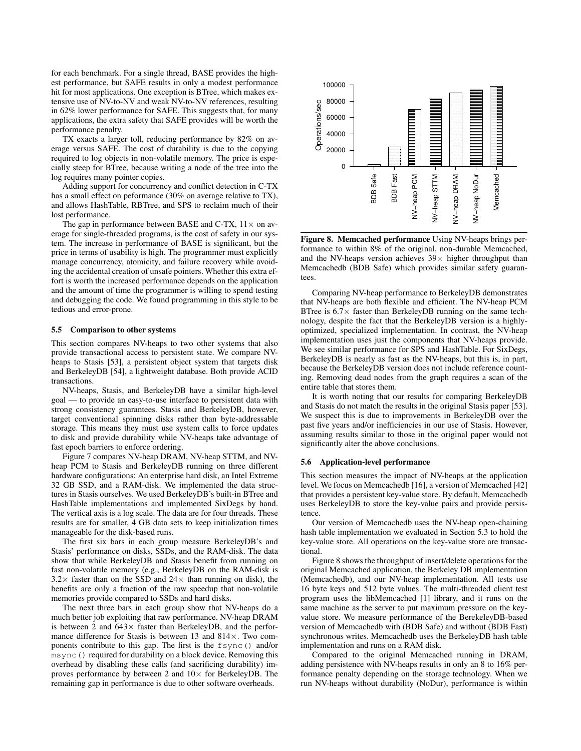for each benchmark. For a single thread, BASE provides the highest performance, but SAFE results in only a modest performance hit for most applications. One exception is BTree, which makes extensive use of NV-to-NV and weak NV-to-NV references, resulting in 62% lower performance for SAFE. This suggests that, for many applications, the extra safety that SAFE provides will be worth the performance penalty.

TX exacts a larger toll, reducing performance by 82% on average versus SAFE. The cost of durability is due to the copying required to log objects in non-volatile memory. The price is especially steep for BTree, because writing a node of the tree into the log requires many pointer copies.

Adding support for concurrency and conflict detection in C-TX has a small effect on peformance (30% on average relative to TX), and allows HashTable, RBTree, and SPS to reclaim much of their lost performance.

The gap in performance between BASE and C-TX,  $11 \times$  on average for single-threaded programs, is the cost of safety in our system. The increase in performance of BASE is significant, but the price in terms of usability is high. The programmer must explicitly manage concurrency, atomicity, and failure recovery while avoiding the accidental creation of unsafe pointers. Whether this extra effort is worth the increased performance depends on the application and the amount of time the programmer is willing to spend testing and debugging the code. We found programming in this style to be tedious and error-prone.

## 5.5 Comparison to other systems

This section compares NV-heaps to two other systems that also provide transactional access to persistent state. We compare NVheaps to Stasis [53], a persistent object system that targets disk and BerkeleyDB [54], a lightweight database. Both provide ACID transactions.

NV-heaps, Stasis, and BerkeleyDB have a similar high-level goal — to provide an easy-to-use interface to persistent data with strong consistency guarantees. Stasis and BerkeleyDB, however, target conventional spinning disks rather than byte-addressable storage. This means they must use system calls to force updates to disk and provide durability while NV-heaps take advantage of fast epoch barriers to enforce ordering.

Figure 7 compares NV-heap DRAM, NV-heap STTM, and NVheap PCM to Stasis and BerkeleyDB running on three different hardware configurations: An enterprise hard disk, an Intel Extreme 32 GB SSD, and a RAM-disk. We implemented the data structures in Stasis ourselves. We used BerkeleyDB's built-in BTree and HashTable implementations and implemented SixDegs by hand. The vertical axis is a log scale. The data are for four threads. These results are for smaller, 4 GB data sets to keep initialization times manageable for the disk-based runs.

The first six bars in each group measure BerkeleyDB's and Stasis' performance on disks, SSDs, and the RAM-disk. The data show that while BerkeleyDB and Stasis benefit from running on fast non-volatile memory (e.g., BerkeleyDB on the RAM-disk is  $3.2\times$  faster than on the SSD and  $24\times$  than running on disk), the benefits are only a fraction of the raw speedup that non-volatile memories provide compared to SSDs and hard disks.

The next three bars in each group show that NV-heaps do a much better job exploiting that raw performance. NV-heap DRAM is between 2 and  $643\times$  faster than BerkeleyDB, and the performance difference for Stasis is between 13 and 814 $\times$ . Two components contribute to this gap. The first is the fsync() and/or msync() required for durability on a block device. Removing this overhead by disabling these calls (and sacrificing durability) improves performance by between 2 and  $10\times$  for BerkeleyDB. The remaining gap in performance is due to other software overheads.



Figure 8. Memcached performance Using NV-heaps brings performance to within 8% of the original, non-durable Memcached, and the NV-heaps version achieves  $39\times$  higher throughput than Memcachedb (BDB Safe) which provides similar safety guarantees.

Comparing NV-heap performance to BerkeleyDB demonstrates that NV-heaps are both flexible and efficient. The NV-heap PCM BTree is  $6.7\times$  faster than BerkeleyDB running on the same technology, despite the fact that the BerkeleyDB version is a highlyoptimized, specialized implementation. In contrast, the NV-heap implementation uses just the components that NV-heaps provide. We see similar performance for SPS and HashTable. For SixDegs, BerkeleyDB is nearly as fast as the NV-heaps, but this is, in part, because the BerkeleyDB version does not include reference counting. Removing dead nodes from the graph requires a scan of the entire table that stores them.

It is worth noting that our results for comparing BerkeleyDB and Stasis do not match the results in the original Stasis paper [53]. We suspect this is due to improvements in BerkeleyDB over the past five years and/or inefficiencies in our use of Stasis. However, assuming results similar to those in the original paper would not significantly alter the above conclusions.

## 5.6 Application-level performance

This section measures the impact of NV-heaps at the application level. We focus on Memcachedb [16], a version of Memcached [42] that provides a persistent key-value store. By default, Memcachedb uses BerkeleyDB to store the key-value pairs and provide persistence.

Our version of Memcachedb uses the NV-heap open-chaining hash table implementation we evaluated in Section 5.3 to hold the key-value store. All operations on the key-value store are transactional.

Figure 8 shows the throughput of insert/delete operations for the original Memcached application, the Berkeley DB implementation (Memcachedb), and our NV-heap implementation. All tests use 16 byte keys and 512 byte values. The multi-threaded client test program uses the libMemcached [1] library, and it runs on the same machine as the server to put maximum pressure on the keyvalue store. We measure performance of the BerekeleyDB-based version of Memcachedb with (BDB Safe) and without (BDB Fast) synchronous writes. Memcachedb uses the BerkeleyDB hash table implementation and runs on a RAM disk.

Compared to the original Memcached running in DRAM, adding persistence with NV-heaps results in only an 8 to 16% performance penalty depending on the storage technology. When we run NV-heaps without durability (NoDur), performance is within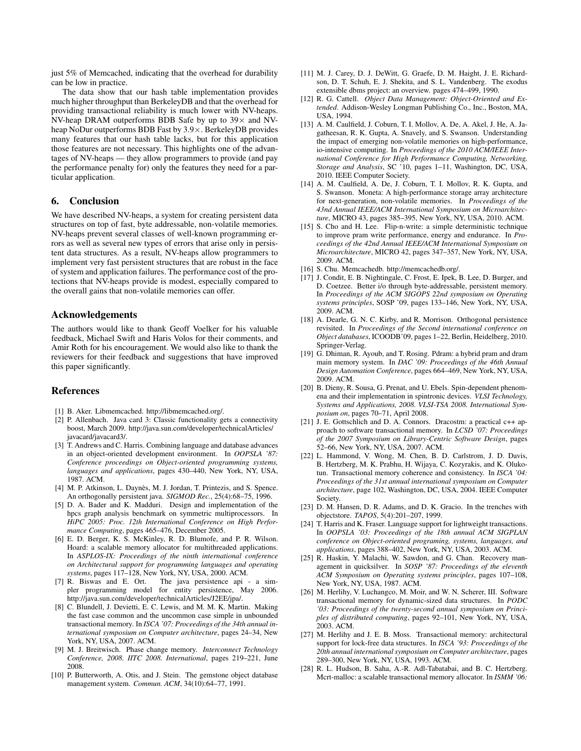just 5% of Memcached, indicating that the overhead for durability can be low in practice.

The data show that our hash table implementation provides much higher throughput than BerkeleyDB and that the overhead for providing transactional reliability is much lower with NV-heaps. NV-heap DRAM outperforms BDB Safe by up to  $39\times$  and NVheap NoDur outperforms BDB Fast by 3.9×. BerkeleyDB provides many features that our hash table lacks, but for this application those features are not necessary. This highlights one of the advantages of NV-heaps — they allow programmers to provide (and pay the performance penalty for) only the features they need for a particular application.

# 6. Conclusion

We have described NV-heaps, a system for creating persistent data structures on top of fast, byte addressable, non-volatile memories. NV-heaps prevent several classes of well-known programming errors as well as several new types of errors that arise only in persistent data structures. As a result, NV-heaps allow programmers to implement very fast persistent structures that are robust in the face of system and application failures. The performance cost of the protections that NV-heaps provide is modest, especially compared to the overall gains that non-volatile memories can offer.

## Acknowledgements

The authors would like to thank Geoff Voelker for his valuable feedback, Michael Swift and Haris Volos for their comments, and Amir Roth for his encouragement. We would also like to thank the reviewers for their feedback and suggestions that have improved this paper significantly.

# **References**

- [1] B. Aker. Libmemcached. http://libmemcached.org/.
- [2] P. Allenbach. Java card 3: Classic functionality gets a connectivity boost, March 2009. http://java.sun.com/developer/technicalArticles/ javacard/javacard3/.
- [3] T. Andrews and C. Harris. Combining language and database advances in an object-oriented development environment. In *OOPSLA '87: Conference proceedings on Object-oriented programming systems, languages and applications*, pages 430–440, New York, NY, USA, 1987. ACM.
- [4] M. P. Atkinson, L. Daynès, M. J. Jordan, T. Printezis, and S. Spence. An orthogonally persistent java. *SIGMOD Rec.*, 25(4):68–75, 1996.
- [5] D. A. Bader and K. Madduri. Design and implementation of the hpcs graph analysis benchmark on symmetric multiprocessors. In *HiPC 2005: Proc. 12th International Conference on High Performance Computing*, pages 465–476, December 2005.
- [6] E. D. Berger, K. S. McKinley, R. D. Blumofe, and P. R. Wilson. Hoard: a scalable memory allocator for multithreaded applications. In *ASPLOS-IX: Proceedings of the ninth international conference on Architectural support for programming languages and operating systems*, pages 117–128, New York, NY, USA, 2000. ACM. [7] R. Biswas and E. Ort. The java persistence api
- The java persistence api a simpler programming model for entity persistence, May 2006. http://java.sun.com/developer/technicalArticles/J2EE/jpa/.
- [8] C. Blundell, J. Devietti, E. C. Lewis, and M. M. K. Martin. Making the fast case common and the uncommon case simple in unbounded transactional memory. In *ISCA '07: Proceedings of the 34th annual international symposium on Computer architecture*, pages 24–34, New York, NY, USA, 2007. ACM.
- [9] M. J. Breitwisch. Phase change memory. *Interconnect Technology Conference, 2008. IITC 2008. International*, pages 219–221, June 2008.
- [10] P. Butterworth, A. Otis, and J. Stein. The gemstone object database management system. *Commun. ACM*, 34(10):64–77, 1991.
- [11] M. J. Carey, D. J. DeWitt, G. Graefe, D. M. Haight, J. E. Richardson, D. T. Schuh, E. J. Shekita, and S. L. Vandenberg. The exodus extensible dbms project: an overview. pages 474–499, 1990.
- [12] R. G. Cattell. *Object Data Management: Object-Oriented and Extended*. Addison-Wesley Longman Publishing Co., Inc., Boston, MA, USA, 1994.
- [13] A. M. Caulfield, J. Coburn, T. I. Mollov, A. De, A. Akel, J. He, A. Jagatheesan, R. K. Gupta, A. Snavely, and S. Swanson. Understanding the impact of emerging non-volatile memories on high-performance, io-intensive computing. In *Proceedings of the 2010 ACM/IEEE International Conference for High Performance Computing, Networking, Storage and Analysis*, SC '10, pages 1–11, Washington, DC, USA, 2010. IEEE Computer Society.
- [14] A. M. Caulfield, A. De, J. Coburn, T. I. Mollov, R. K. Gupta, and S. Swanson. Moneta: A high-performance storage array architecture for next-generation, non-volatile memories. In *Proceedings of the 43nd Annual IEEE/ACM International Symposium on Microarchitecture*, MICRO 43, pages 385–395, New York, NY, USA, 2010. ACM.
- [15] S. Cho and H. Lee. Flip-n-write: a simple deterministic technique to improve pram write performance, energy and endurance. In *Proceedings of the 42nd Annual IEEE/ACM International Symposium on Microarchitecture*, MICRO 42, pages 347–357, New York, NY, USA, 2009. ACM.
- [16] S. Chu. Memcachedb. http://memcachedb.org/.
- [17] J. Condit, E. B. Nightingale, C. Frost, E. Ipek, B. Lee, D. Burger, and D. Coetzee. Better i/o through byte-addressable, persistent memory. In *Proceedings of the ACM SIGOPS 22nd symposium on Operating systems principles*, SOSP '09, pages 133–146, New York, NY, USA, 2009. ACM.
- [18] A. Dearle, G. N. C. Kirby, and R. Morrison. Orthogonal persistence revisited. In *Proceedings of the Second international conference on Object databases*, ICOODB'09, pages 1–22, Berlin, Heidelberg, 2010. Springer-Verlag.
- [19] G. Dhiman, R. Ayoub, and T. Rosing. Pdram: a hybrid pram and dram main memory system. In *DAC '09: Proceedings of the 46th Annual Design Automation Conference*, pages 664–469, New York, NY, USA, 2009. ACM.
- [20] B. Dieny, R. Sousa, G. Prenat, and U. Ebels. Spin-dependent phenomena and their implementation in spintronic devices. *VLSI Technology, Systems and Applications, 2008. VLSI-TSA 2008. International Symposium on*, pages 70–71, April 2008.
- [21] J. E. Gottschlich and D. A. Connors. Dracostm: a practical c++ approach to software transactional memory. In *LCSD '07: Proceedings of the 2007 Symposium on Library-Centric Software Design*, pages 52–66, New York, NY, USA, 2007. ACM.
- [22] L. Hammond, V. Wong, M. Chen, B. D. Carlstrom, J. D. Davis, B. Hertzberg, M. K. Prabhu, H. Wijaya, C. Kozyrakis, and K. Olukotun. Transactional memory coherence and consistency. In *ISCA '04: Proceedings of the 31st annual international symposium on Computer architecture*, page 102, Washington, DC, USA, 2004. IEEE Computer Society.
- [23] D. M. Hansen, D. R. Adams, and D. K. Gracio. In the trenches with objectstore. *TAPOS*, 5(4):201–207, 1999.
- [24] T. Harris and K. Fraser. Language support for lightweight transactions. In *OOPSLA '03: Proceedings of the 18th annual ACM SIGPLAN conference on Object-oriented programing, systems, languages, and applications*, pages 388–402, New York, NY, USA, 2003. ACM.
- [25] R. Haskin, Y. Malachi, W. Sawdon, and G. Chan. Recovery management in quicksilver. In *SOSP '87: Proceedings of the eleventh ACM Symposium on Operating systems principles*, pages 107–108, New York, NY, USA, 1987. ACM.
- [26] M. Herlihy, V. Luchangco, M. Moir, and W. N. Scherer, III. Software transactional memory for dynamic-sized data structures. In *PODC '03: Proceedings of the twenty-second annual symposium on Principles of distributed computing*, pages 92–101, New York, NY, USA, 2003. ACM.
- [27] M. Herlihy and J. E. B. Moss. Transactional memory: architectural support for lock-free data structures. In *ISCA '93: Proceedings of the 20th annual internationalsymposium on Computer architecture*, pages 289–300, New York, NY, USA, 1993. ACM.
- [28] R. L. Hudson, B. Saha, A.-R. Adl-Tabatabai, and B. C. Hertzberg. Mcrt-malloc: a scalable transactional memory allocator. In *ISMM '06:*